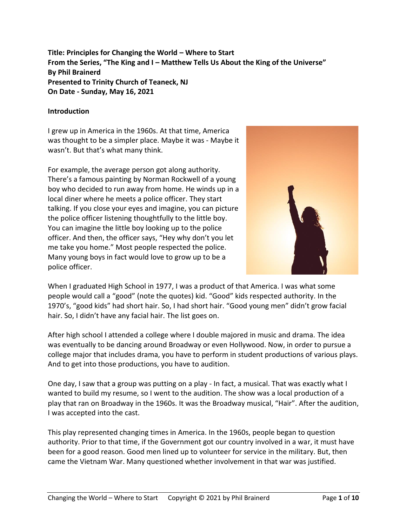**Title: Principles for Changing the World – Where to Start From the Series, "The King and I – Matthew Tells Us About the King of the Universe" By Phil Brainerd Presented to Trinity Church of Teaneck, NJ On Date - Sunday, May 16, 2021**

#### **Introduction**

I grew up in America in the 1960s. At that time, America was thought to be a simpler place. Maybe it was - Maybe it wasn't. But that's what many think.

For example, the average person got along authority. There's a famous painting by Norman Rockwell of a young boy who decided to run away from home. He winds up in a local diner where he meets a police officer. They start talking. If you close your eyes and imagine, you can picture the police officer listening thoughtfully to the little boy. You can imagine the little boy looking up to the police officer. And then, the officer says, "Hey why don't you let me take you home." Most people respected the police. Many young boys in fact would love to grow up to be a police officer.



When I graduated High School in 1977, I was a product of that America. I was what some people would call a "good" (note the quotes) kid. "Good" kids respected authority. In the 1970's, "good kids" had short hair. So, I had short hair. "Good young men" didn't grow facial hair. So, I didn't have any facial hair. The list goes on.

After high school I attended a college where I double majored in music and drama. The idea was eventually to be dancing around Broadway or even Hollywood. Now, in order to pursue a college major that includes drama, you have to perform in student productions of various plays. And to get into those productions, you have to audition.

One day, I saw that a group was putting on a play - In fact, a musical. That was exactly what I wanted to build my resume, so I went to the audition. The show was a local production of a play that ran on Broadway in the 1960s. It was the Broadway musical, "Hair". After the audition, I was accepted into the cast.

This play represented changing times in America. In the 1960s, people began to question authority. Prior to that time, if the Government got our country involved in a war, it must have been for a good reason. Good men lined up to volunteer for service in the military. But, then came the Vietnam War. Many questioned whether involvement in that war was justified.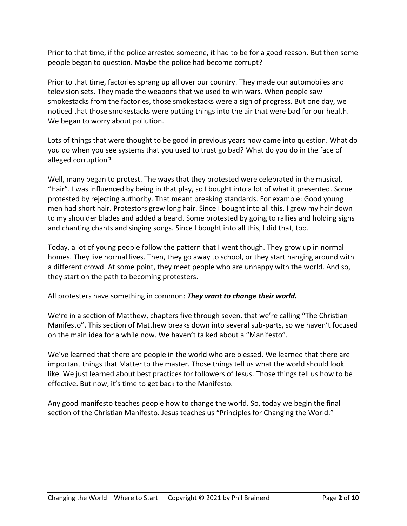Prior to that time, if the police arrested someone, it had to be for a good reason. But then some people began to question. Maybe the police had become corrupt?

Prior to that time, factories sprang up all over our country. They made our automobiles and television sets. They made the weapons that we used to win wars. When people saw smokestacks from the factories, those smokestacks were a sign of progress. But one day, we noticed that those smokestacks were putting things into the air that were bad for our health. We began to worry about pollution.

Lots of things that were thought to be good in previous years now came into question. What do you do when you see systems that you used to trust go bad? What do you do in the face of alleged corruption?

Well, many began to protest. The ways that they protested were celebrated in the musical, "Hair". I was influenced by being in that play, so I bought into a lot of what it presented. Some protested by rejecting authority. That meant breaking standards. For example: Good young men had short hair. Protestors grew long hair. Since I bought into all this, I grew my hair down to my shoulder blades and added a beard. Some protested by going to rallies and holding signs and chanting chants and singing songs. Since I bought into all this, I did that, too.

Today, a lot of young people follow the pattern that I went though. They grow up in normal homes. They live normal lives. Then, they go away to school, or they start hanging around with a different crowd. At some point, they meet people who are unhappy with the world. And so, they start on the path to becoming protesters.

All protesters have something in common: *They want to change their world.*

We're in a section of Matthew, chapters five through seven, that we're calling "The Christian Manifesto". This section of Matthew breaks down into several sub-parts, so we haven't focused on the main idea for a while now. We haven't talked about a "Manifesto".

We've learned that there are people in the world who are blessed. We learned that there are important things that Matter to the master. Those things tell us what the world should look like. We just learned about best practices for followers of Jesus. Those things tell us how to be effective. But now, it's time to get back to the Manifesto.

Any good manifesto teaches people how to change the world. So, today we begin the final section of the Christian Manifesto. Jesus teaches us "Principles for Changing the World."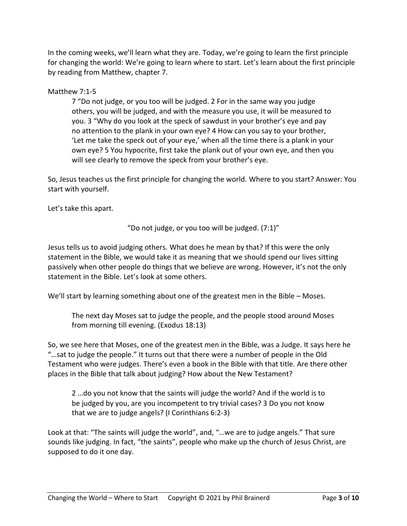In the coming weeks, we'll learn what they are. Today, we're going to learn the first principle for changing the world: We're going to learn where to start. Let's learn about the first principle by reading from Matthew, chapter 7.

# Matthew 7:1-5

7 "Do not judge, or you too will be judged. 2 For in the same way you judge others, you will be judged, and with the measure you use, it will be measured to you. 3 "Why do you look at the speck of sawdust in your brother's eye and pay no attention to the plank in your own eye? 4 How can you say to your brother, 'Let me take the speck out of your eye,' when all the time there is a plank in your own eye? 5 You hypocrite, first take the plank out of your own eye, and then you will see clearly to remove the speck from your brother's eye.

So, Jesus teaches us the first principle for changing the world. Where to you start? Answer: You start with yourself.

Let's take this apart.

"Do not judge, or you too will be judged.  $(7:1)$ "

Jesus tells us to avoid judging others. What does he mean by that? If this were the only statement in the Bible, we would take it as meaning that we should spend our lives sitting passively when other people do things that we believe are wrong. However, it's not the only statement in the Bible. Let's look at some others.

We'll start by learning something about one of the greatest men in the Bible – Moses.

The next day Moses sat to judge the people, and the people stood around Moses from morning till evening. (Exodus 18:13)

So, we see here that Moses, one of the greatest men in the Bible, was a Judge. It says here he "…sat to judge the people." It turns out that there were a number of people in the Old Testament who were judges. There's even a book in the Bible with that title. Are there other places in the Bible that talk about judging? How about the New Testament?

2 …do you not know that the saints will judge the world? And if the world is to be judged by you, are you incompetent to try trivial cases? 3 Do you not know that we are to judge angels? (I Corinthians 6:2-3)

Look at that: "The saints will judge the world", and, "…we are to judge angels." That sure sounds like judging. In fact, "the saints", people who make up the church of Jesus Christ, are supposed to do it one day.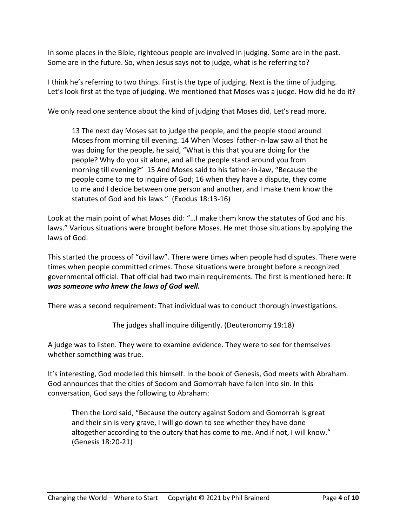In some places in the Bible, righteous people are involved in judging. Some are in the past. Some are in the future. So, when Jesus says not to judge, what is he referring to?

I think he's referring to two things. First is the type of judging. Next is the time of judging. Let's look first at the type of judging. We mentioned that Moses was a judge. How did he do it?

We only read one sentence about the kind of judging that Moses did. Let's read more.

13 The next day Moses sat to judge the people, and the people stood around Moses from morning till evening. 14 When Moses' father-in-law saw all that he was doing for the people, he said, "What is this that you are doing for the people? Why do you sit alone, and all the people stand around you from morning till evening?" 15 And Moses said to his father-in-law, "Because the people come to me to inquire of God; 16 when they have a dispute, they come to me and I decide between one person and another, and I make them know the statutes of God and his laws." (Exodus 18:13-16)

Look at the main point of what Moses did: "…I make them know the statutes of God and his laws." Various situations were brought before Moses. He met those situations by applying the laws of God.

This started the process of "civil law". There were times when people had disputes. There were times when people committed crimes. Those situations were brought before a recognized governmental official. That official had two main requirements. The first is mentioned here: *It was someone who knew the laws of God well.*

There was a second requirement: That individual was to conduct thorough investigations.

The judges shall inquire diligently. (Deuteronomy 19:18)

A judge was to listen. They were to examine evidence. They were to see for themselves whether something was true.

It's interesting, God modelled this himself. In the book of Genesis, God meets with Abraham. God announces that the cities of Sodom and Gomorrah have fallen into sin. In this conversation, God says the following to Abraham:

Then the Lord said, "Because the outcry against Sodom and Gomorrah is great and their sin is very grave, I will go down to see whether they have done altogether according to the outcry that has come to me. And if not, I will know." (Genesis 18:20-21)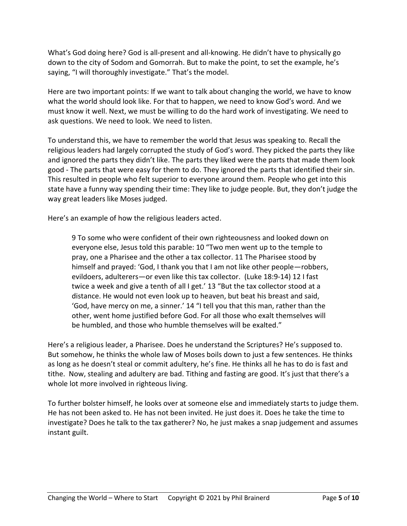What's God doing here? God is all-present and all-knowing. He didn't have to physically go down to the city of Sodom and Gomorrah. But to make the point, to set the example, he's saying, "I will thoroughly investigate." That's the model.

Here are two important points: If we want to talk about changing the world, we have to know what the world should look like. For that to happen, we need to know God's word. And we must know it well. Next, we must be willing to do the hard work of investigating. We need to ask questions. We need to look. We need to listen.

To understand this, we have to remember the world that Jesus was speaking to. Recall the religious leaders had largely corrupted the study of God's word. They picked the parts they like and ignored the parts they didn't like. The parts they liked were the parts that made them look good - The parts that were easy for them to do. They ignored the parts that identified their sin. This resulted in people who felt superior to everyone around them. People who get into this state have a funny way spending their time: They like to judge people. But, they don't judge the way great leaders like Moses judged.

Here's an example of how the religious leaders acted.

9 To some who were confident of their own righteousness and looked down on everyone else, Jesus told this parable: 10 "Two men went up to the temple to pray, one a Pharisee and the other a tax collector. 11 The Pharisee stood by himself and prayed: 'God, I thank you that I am not like other people—robbers, evildoers, adulterers—or even like this tax collector. (Luke 18:9-14) 12 I fast twice a week and give a tenth of all I get.' 13 "But the tax collector stood at a distance. He would not even look up to heaven, but beat his breast and said, 'God, have mercy on me, a sinner.' 14 "I tell you that this man, rather than the other, went home justified before God. For all those who exalt themselves will be humbled, and those who humble themselves will be exalted."

Here's a religious leader, a Pharisee. Does he understand the Scriptures? He's supposed to. But somehow, he thinks the whole law of Moses boils down to just a few sentences. He thinks as long as he doesn't steal or commit adultery, he's fine. He thinks all he has to do is fast and tithe. Now, stealing and adultery are bad. Tithing and fasting are good. It's just that there's a whole lot more involved in righteous living.

To further bolster himself, he looks over at someone else and immediately starts to judge them. He has not been asked to. He has not been invited. He just does it. Does he take the time to investigate? Does he talk to the tax gatherer? No, he just makes a snap judgement and assumes instant guilt.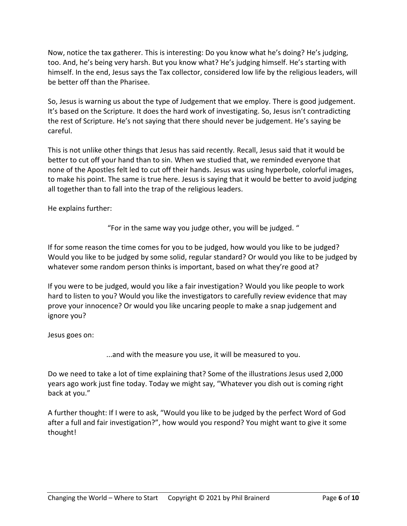Now, notice the tax gatherer. This is interesting: Do you know what he's doing? He's judging, too. And, he's being very harsh. But you know what? He's judging himself. He's starting with himself. In the end, Jesus says the Tax collector, considered low life by the religious leaders, will be better off than the Pharisee.

So, Jesus is warning us about the type of Judgement that we employ. There is good judgement. It's based on the Scripture. It does the hard work of investigating. So, Jesus isn't contradicting the rest of Scripture. He's not saying that there should never be judgement. He's saying be careful.

This is not unlike other things that Jesus has said recently. Recall, Jesus said that it would be better to cut off your hand than to sin. When we studied that, we reminded everyone that none of the Apostles felt led to cut off their hands. Jesus was using hyperbole, colorful images, to make his point. The same is true here. Jesus is saying that it would be better to avoid judging all together than to fall into the trap of the religious leaders.

He explains further:

"For in the same way you judge other, you will be judged. "

If for some reason the time comes for you to be judged, how would you like to be judged? Would you like to be judged by some solid, regular standard? Or would you like to be judged by whatever some random person thinks is important, based on what they're good at?

If you were to be judged, would you like a fair investigation? Would you like people to work hard to listen to you? Would you like the investigators to carefully review evidence that may prove your innocence? Or would you like uncaring people to make a snap judgement and ignore you?

Jesus goes on:

...and with the measure you use, it will be measured to you.

Do we need to take a lot of time explaining that? Some of the illustrations Jesus used 2,000 years ago work just fine today. Today we might say, "Whatever you dish out is coming right back at you."

A further thought: If I were to ask, "Would you like to be judged by the perfect Word of God after a full and fair investigation?", how would you respond? You might want to give it some thought!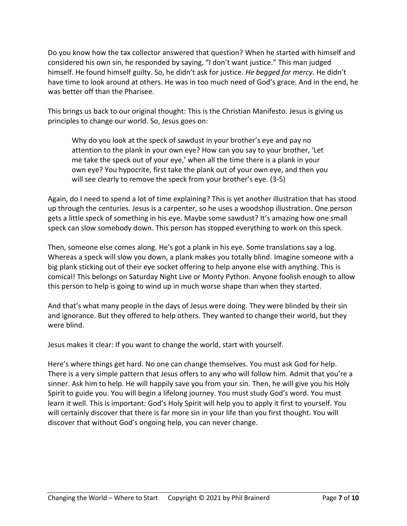Do you know how the tax collector answered that question? When he started with himself and considered his own sin, he responded by saying, "I don't want justice." This man judged himself. He found himself guilty. So, he didn't ask for justice. *He begged for mercy.* He didn't have time to look around at others. He was in too much need of God's grace. And in the end, he was better off than the Pharisee.

This brings us back to our original thought: This is the Christian Manifesto. Jesus is giving us principles to change our world. So, Jesus goes on:

Why do you look at the speck of sawdust in your brother's eye and pay no attention to the plank in your own eye? How can you say to your brother, 'Let me take the speck out of your eye,' when all the time there is a plank in your own eye? You hypocrite, first take the plank out of your own eye, and then you will see clearly to remove the speck from your brother's eye. (3-5)

Again, do I need to spend a lot of time explaining? This is yet another illustration that has stood up through the centuries. Jesus is a carpenter, so he uses a woodshop illustration. One person gets a little speck of something in his eye. Maybe some sawdust? It's amazing how one small speck can slow somebody down. This person has stopped everything to work on this speck.

Then, someone else comes along. He's got a plank in his eye. Some translations say a log. Whereas a speck will slow you down, a plank makes you totally blind. Imagine someone with a big plank sticking out of their eye socket offering to help anyone else with anything. This is comical! This belongs on Saturday Night Live or Monty Python. Anyone foolish enough to allow this person to help is going to wind up in much worse shape than when they started.

And that's what many people in the days of Jesus were doing. They were blinded by their sin and ignorance. But they offered to help others. They wanted to change their world, but they were blind.

Jesus makes it clear: If you want to change the world, start with yourself.

Here's where things get hard. No one can change themselves. You must ask God for help. There is a very simple pattern that Jesus offers to any who will follow him. Admit that you're a sinner. Ask him to help. He will happily save you from your sin. Then, he will give you his Holy Spirit to guide you. You will begin a lifelong journey. You must study God's word. You must learn it well. This is important: God's Holy Spirit will help you to apply it first to yourself. You will certainly discover that there is far more sin in your life than you first thought. You will discover that without God's ongoing help, you can never change.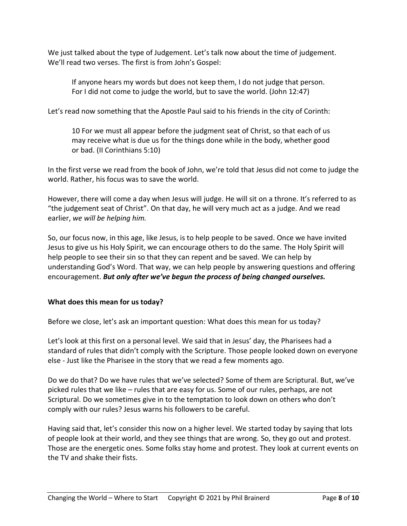We just talked about the type of Judgement. Let's talk now about the time of judgement. We'll read two verses. The first is from John's Gospel:

If anyone hears my words but does not keep them, I do not judge that person. For I did not come to judge the world, but to save the world. (John 12:47)

Let's read now something that the Apostle Paul said to his friends in the city of Corinth:

10 For we must all appear before the judgment seat of Christ, so that each of us may receive what is due us for the things done while in the body, whether good or bad. (II Corinthians 5:10)

In the first verse we read from the book of John, we're told that Jesus did not come to judge the world. Rather, his focus was to save the world.

However, there will come a day when Jesus will judge. He will sit on a throne. It's referred to as "the judgement seat of Christ". On that day, he will very much act as a judge. And we read earlier, *we will be helping him.*

So, our focus now, in this age, like Jesus, is to help people to be saved. Once we have invited Jesus to give us his Holy Spirit, we can encourage others to do the same. The Holy Spirit will help people to see their sin so that they can repent and be saved. We can help by understanding God's Word. That way, we can help people by answering questions and offering encouragement. *But only after we've begun the process of being changed ourselves.*

## **What does this mean for us today?**

Before we close, let's ask an important question: What does this mean for us today?

Let's look at this first on a personal level. We said that in Jesus' day, the Pharisees had a standard of rules that didn't comply with the Scripture. Those people looked down on everyone else - Just like the Pharisee in the story that we read a few moments ago.

Do we do that? Do we have rules that we've selected? Some of them are Scriptural. But, we've picked rules that we like – rules that are easy for us. Some of our rules, perhaps, are not Scriptural. Do we sometimes give in to the temptation to look down on others who don't comply with our rules? Jesus warns his followers to be careful.

Having said that, let's consider this now on a higher level. We started today by saying that lots of people look at their world, and they see things that are wrong. So, they go out and protest. Those are the energetic ones. Some folks stay home and protest. They look at current events on the TV and shake their fists.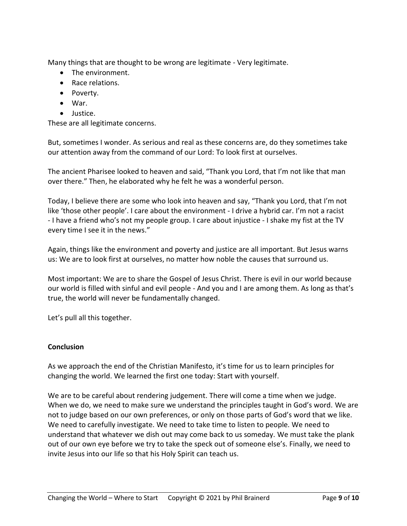Many things that are thought to be wrong are legitimate - Very legitimate.

- The environment.
- Race relations.
- Poverty.
- War.
- Justice.

These are all legitimate concerns.

But, sometimes I wonder. As serious and real as these concerns are, do they sometimes take our attention away from the command of our Lord: To look first at ourselves.

The ancient Pharisee looked to heaven and said, "Thank you Lord, that I'm not like that man over there." Then, he elaborated why he felt he was a wonderful person.

Today, I believe there are some who look into heaven and say, "Thank you Lord, that I'm not like 'those other people'. I care about the environment - I drive a hybrid car. I'm not a racist - I have a friend who's not my people group. I care about injustice - I shake my fist at the TV every time I see it in the news."

Again, things like the environment and poverty and justice are all important. But Jesus warns us: We are to look first at ourselves, no matter how noble the causes that surround us.

Most important: We are to share the Gospel of Jesus Christ. There is evil in our world because our world is filled with sinful and evil people - And you and I are among them. As long as that's true, the world will never be fundamentally changed.

Let's pull all this together.

## **Conclusion**

As we approach the end of the Christian Manifesto, it's time for us to learn principles for changing the world. We learned the first one today: Start with yourself.

We are to be careful about rendering judgement. There will come a time when we judge. When we do, we need to make sure we understand the principles taught in God's word. We are not to judge based on our own preferences, or only on those parts of God's word that we like. We need to carefully investigate. We need to take time to listen to people. We need to understand that whatever we dish out may come back to us someday. We must take the plank out of our own eye before we try to take the speck out of someone else's. Finally, we need to invite Jesus into our life so that his Holy Spirit can teach us.